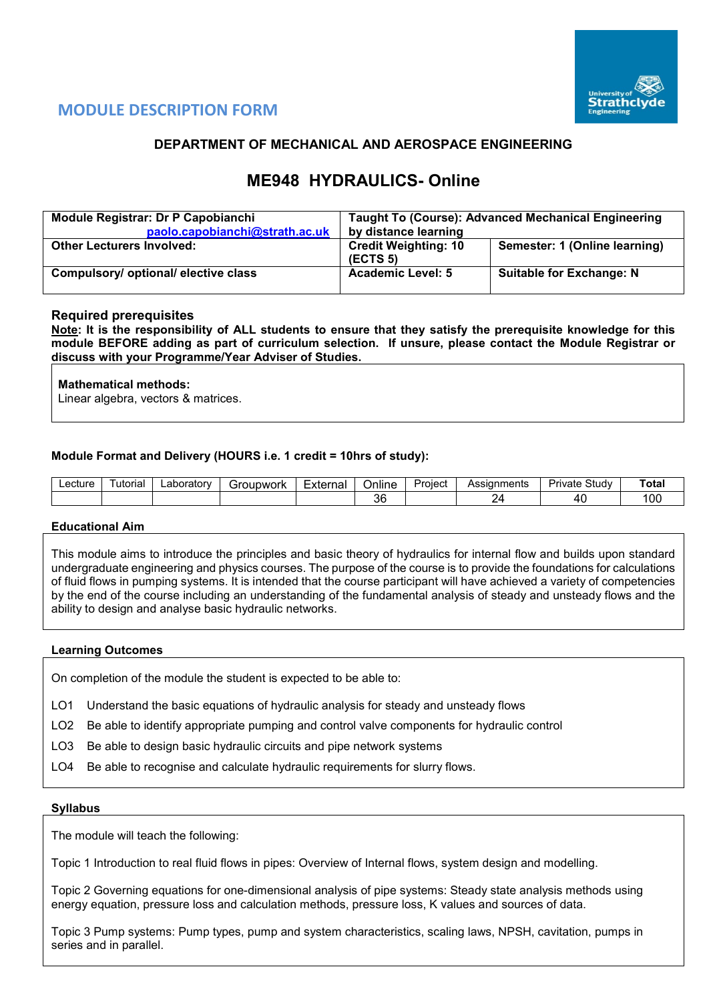

# **MODULE DESCRIPTION FORM**

# **DEPARTMENT OF MECHANICAL AND AEROSPACE ENGINEERING**

# **ME948 HYDRAULICS- Online**

| Module Registrar: Dr P Capobianchi<br>paolo.capobianchi@strath.ac.uk | <b>Taught To (Course): Advanced Mechanical Engineering</b><br>by distance learning |                                 |  |  |  |  |
|----------------------------------------------------------------------|------------------------------------------------------------------------------------|---------------------------------|--|--|--|--|
| <b>Other Lecturers Involved:</b>                                     | <b>Credit Weighting: 10</b><br>(ECTS <sub>5</sub> )                                | Semester: 1 (Online learning)   |  |  |  |  |
| Compulsory/ optional/ elective class                                 | <b>Academic Level: 5</b>                                                           | <b>Suitable for Exchange: N</b> |  |  |  |  |

## **Required prerequisites**

**Note: It is the responsibility of ALL students to ensure that they satisfy the prerequisite knowledge for this module BEFORE adding as part of curriculum selection. If unsure, please contact the Module Registrar or discuss with your Programme/Year Adviser of Studies.** 

#### **Mathematical methods:**

Linear algebra, vectors & matrices.

#### **Module Format and Delivery (HOURS i.e. 1 credit = 10hrs of study):**

| _ecture | utorial | _aboratorv | -roupwork | External | . .<br>⊃nlıne | Assianments<br>Project |  | Study<br>∟r∾<br>ivate. | Total         |
|---------|---------|------------|-----------|----------|---------------|------------------------|--|------------------------|---------------|
|         |         |            |           |          | 36            |                        |  | 41                     | <sub>00</sub> |

#### **Educational Aim**

This module aims to introduce the principles and basic theory of hydraulics for internal flow and builds upon standard undergraduate engineering and physics courses. The purpose of the course is to provide the foundations for calculations of fluid flows in pumping systems. It is intended that the course participant will have achieved a variety of competencies by the end of the course including an understanding of the fundamental analysis of steady and unsteady flows and the ability to design and analyse basic hydraulic networks.

#### **Learning Outcomes**

On completion of the module the student is expected to be able to:

- LO1 Understand the basic equations of hydraulic analysis for steady and unsteady flows
- LO2 Be able to identify appropriate pumping and control valve components for hydraulic control
- LO3 Be able to design basic hydraulic circuits and pipe network systems
- LO4 Be able to recognise and calculate hydraulic requirements for slurry flows.

#### **Syllabus**

The module will teach the following:

Topic 1 Introduction to real fluid flows in pipes: Overview of Internal flows, system design and modelling.

Topic 2 Governing equations for one-dimensional analysis of pipe systems: Steady state analysis methods using energy equation, pressure loss and calculation methods, pressure loss, K values and sources of data.

Topic 3 Pump systems: Pump types, pump and system characteristics, scaling laws, NPSH, cavitation, pumps in series and in parallel.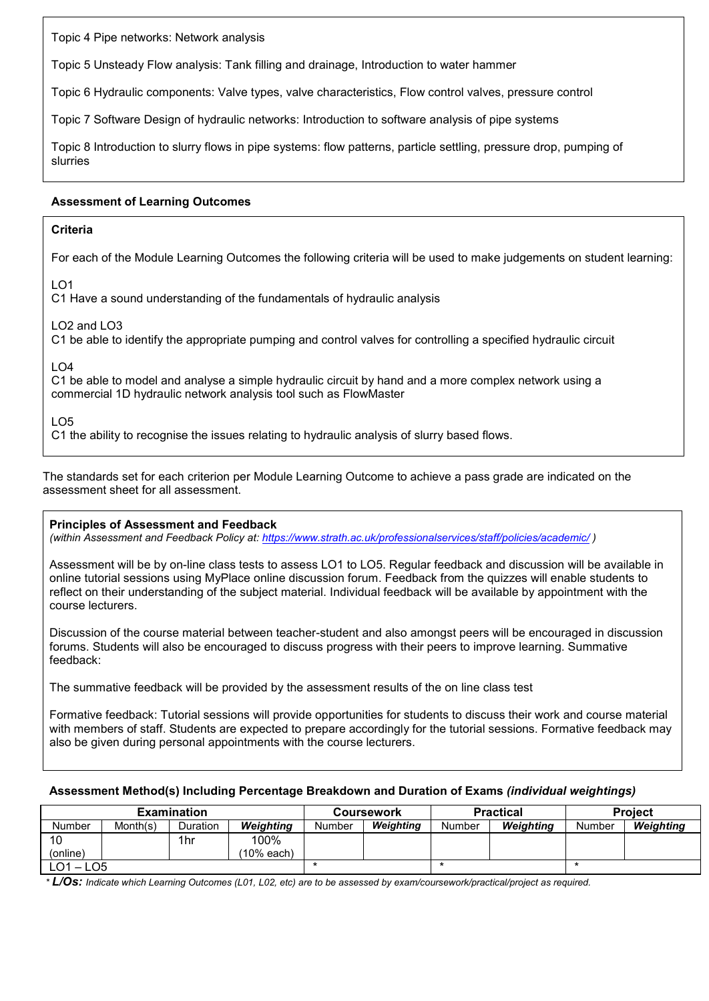Topic 4 Pipe networks: Network analysis

Topic 5 Unsteady Flow analysis: Tank filling and drainage, Introduction to water hammer

Topic 6 Hydraulic components: Valve types, valve characteristics, Flow control valves, pressure control

Topic 7 Software Design of hydraulic networks: Introduction to software analysis of pipe systems

Topic 8 Introduction to slurry flows in pipe systems: flow patterns, particle settling, pressure drop, pumping of slurries

### **Assessment of Learning Outcomes**

#### **Criteria**

For each of the Module Learning Outcomes the following criteria will be used to make judgements on student learning:

 $LO1$ 

C1 Have a sound understanding of the fundamentals of hydraulic analysis

LO2 and LO3

C1 be able to identify the appropriate pumping and control valves for controlling a specified hydraulic circuit

LO4

C1 be able to model and analyse a simple hydraulic circuit by hand and a more complex network using a commercial 1D hydraulic network analysis tool such as FlowMaster

LO5

C1 the ability to recognise the issues relating to hydraulic analysis of slurry based flows.

The standards set for each criterion per Module Learning Outcome to achieve a pass grade are indicated on the assessment sheet for all assessment.

#### **Principles of Assessment and Feedback**

*(within Assessment and Feedback Policy at: <https://www.strath.ac.uk/professionalservices/staff/policies/academic/> )*

Assessment will be by on-line class tests to assess LO1 to LO5. Regular feedback and discussion will be available in online tutorial sessions using MyPlace online discussion forum. Feedback from the quizzes will enable students to reflect on their understanding of the subject material. Individual feedback will be available by appointment with the course lecturers.

Discussion of the course material between teacher-student and also amongst peers will be encouraged in discussion forums. Students will also be encouraged to discuss progress with their peers to improve learning. Summative feedback:

The summative feedback will be provided by the assessment results of the on line class test

Formative feedback: Tutorial sessions will provide opportunities for students to discuss their work and course material with members of staff. Students are expected to prepare accordingly for the tutorial sessions. Formative feedback may also be given during personal appointments with the course lecturers.

## **Assessment Method(s) Including Percentage Breakdown and Duration of Exams** *(individual weightings)*

|               |          | <b>Examination</b> |            |        | Coursework |        | <b>Practical</b> | <b>Project</b> |           |  |
|---------------|----------|--------------------|------------|--------|------------|--------|------------------|----------------|-----------|--|
| <b>Number</b> | Month(s) | Duration           | Weiahtina  | Number | Weighting  | Number | Weiahtina        | Number         | Weighting |  |
|               |          | 1hr                | 100%       |        |            |        |                  |                |           |  |
| (online)      |          |                    | (10% each) |        |            |        |                  |                |           |  |
| ∟O1<br>$-LO5$ |          |                    |            |        |            |        |                  |                |           |  |

*\* L/Os: Indicate which Learning Outcomes (L01, L02, etc) are to be assessed by exam/coursework/practical/project as required.*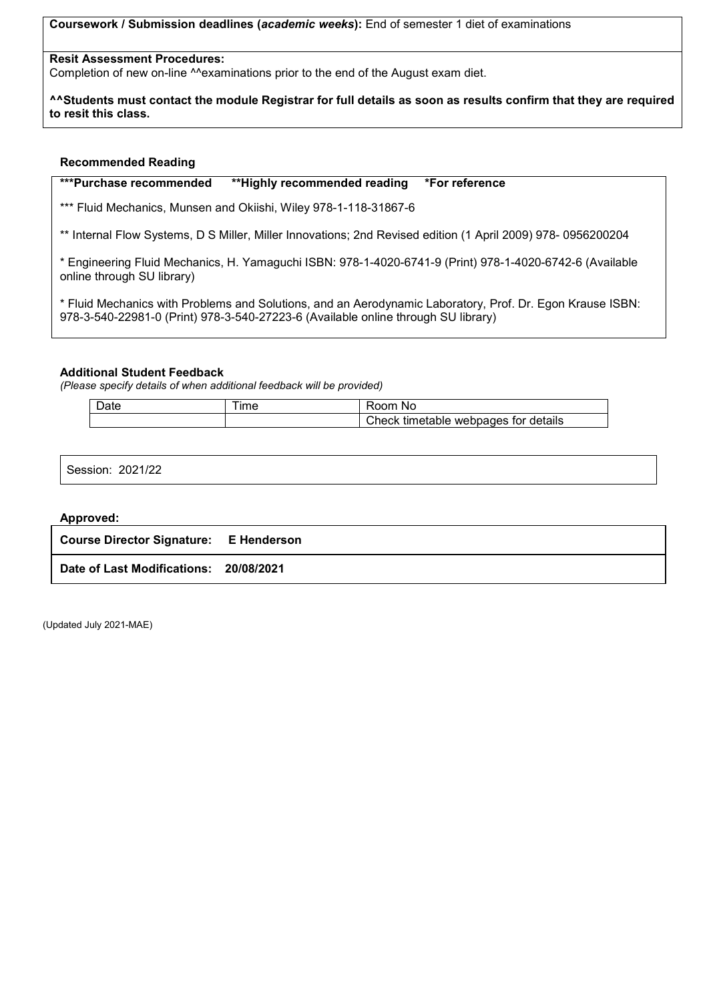**Coursework / Submission deadlines (***academic weeks***):** End of semester 1 diet of examinations

#### **Resit Assessment Procedures:**

Completion of new on-line ^^examinations prior to the end of the August exam diet.

**^^Students must contact the module Registrar for full details as soon as results confirm that they are required to resit this class.**

#### **Recommended Reading**

**\*\*\*Purchase recommended \*\*Highly recommended reading \*For reference** 

\*\*\* Fluid Mechanics, Munsen and Okiishi, Wiley 978-1-118-31867-6

\*\* Internal Flow Systems, D S Miller, Miller Innovations; 2nd Revised edition (1 April 2009) 978- 0956200204

\* Engineering Fluid Mechanics, H. Yamaguchi ISBN: 978-1-4020-6741-9 (Print) 978-1-4020-6742-6 (Available online through SU library)

\* Fluid Mechanics with Problems and Solutions, and an Aerodynamic Laboratory, Prof. Dr. Egon Krause ISBN: 978-3-540-22981-0 (Print) 978-3-540-27223-6 (Available online through SU library)

#### **Additional Student Feedback**

*(Please specify details of when additional feedback will be provided)*

| $\overline{\phantom{0}}$<br>ገሓተረ<br>ale | ıme | Nc<br>.nn                                        |
|-----------------------------------------|-----|--------------------------------------------------|
|                                         |     | $n$ heck<br>for details<br>timetable<br>webpages |

Session: 2021/22

#### **Approved:**

| <b>Course Director Signature: E Henderson</b> |  |
|-----------------------------------------------|--|
| Date of Last Modifications: 20/08/2021        |  |

(Updated July 2021-MAE)